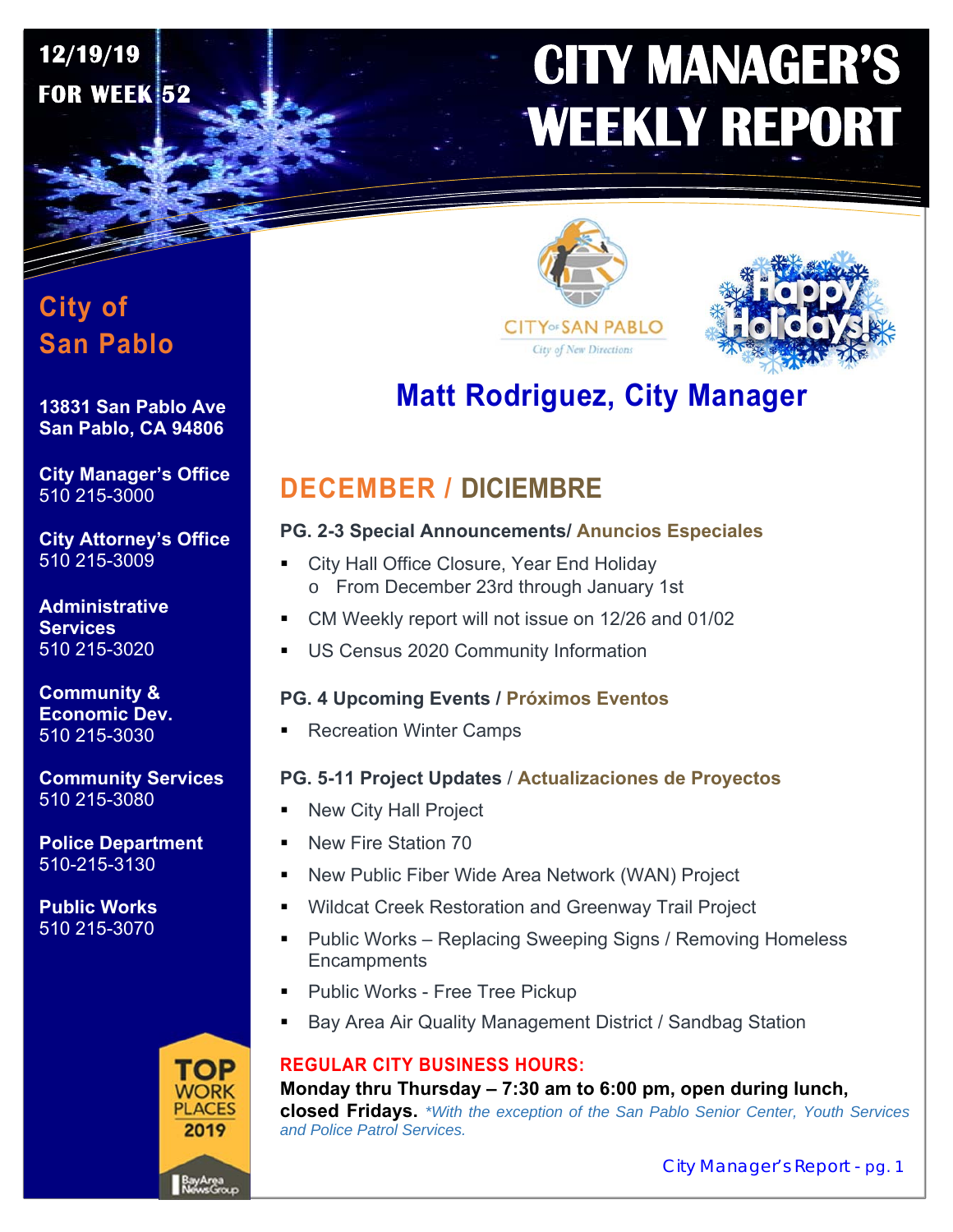# **CITY MANAGER'S WEEKLY REPORT**

# **City of San Pablo**

**12/19/19** 

**FOR WEEK 52** 

#### **13831 San Pablo Ave San Pablo, CA 94806**

**City Manager's Office**  510 215-3000

**City Attorney's Office**  510 215-3009

**Administrative Services**  510 215-3020

**Community & Economic Dev.**  510 215-3030

**Community Services**  510 215-3080

**Police Department**  510-215-3130

**Public Works**  510 215-3070







# **Matt Rodriguez, City Manager**

# **DECEMBER / DICIEMBRE**

#### **PG. 2-3 Special Announcements/ Anuncios Especiales**

- **City Hall Office Closure, Year End Holiday** o From December 23rd through January 1st
- CM Weekly report will not issue on 12/26 and 01/02
- US Census 2020 Community Information

#### **PG. 4 Upcoming Events / Próximos Eventos**

Recreation Winter Camps

#### **PG. 5-11 Project Updates** / **Actualizaciones de Proyectos**

- New City Hall Project
- New Fire Station 70
- New Public Fiber Wide Area Network (WAN) Project
- Wildcat Creek Restoration and Greenway Trail Project
- Public Works Replacing Sweeping Signs / Removing Homeless **Encampments**
- Public Works Free Tree Pickup
- Bay Area Air Quality Management District / Sandbag Station

#### **REGULAR CITY BUSINESS HOURS:**

**Monday thru Thursday – 7:30 am to 6:00 pm, open during lunch, closed Fridays.** *\*With the exception of the San Pablo Senior Center, Youth Services and Police Patrol Services.*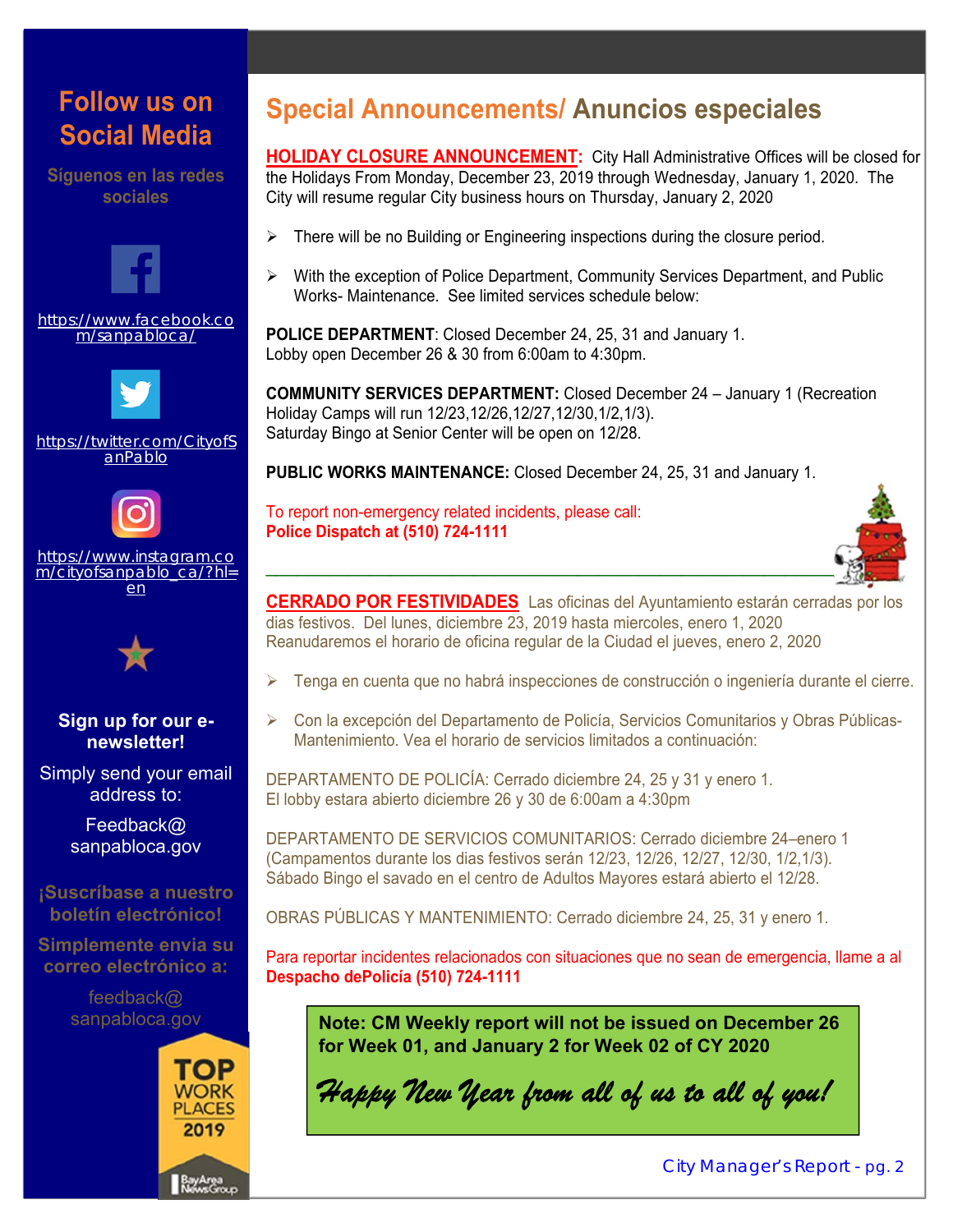# **Follow us on Social Media**

**Síguenos en las redes sociales** 



https://www.facebook.co m/sanpabloca/



https://twitter.com/CityofS anPablo



https://www.instagram.co m/cityofsanpablo\_ca/?hl= en



#### **Sign up for our enewsletter!**

Simply send your email address to:

> Feedback@ sanpabloca.gov

#### **¡Suscríbase a nuestro boletín electrónico!**

**Simplemente envia su correo electrónico a:** 

> feedback@ sanpabloca.gov



# **Special Announcements/ Anuncios especiales**

**HOLIDAY CLOSURE ANNOUNCEMENT:** City Hall Administrative Offices will be closed for the Holidays From Monday, December 23, 2019 through Wednesday, January 1, 2020. The City will resume regular City business hours on Thursday, January 2, 2020

- $\triangleright$  There will be no Building or Engineering inspections during the closure period.
- $\triangleright$  With the exception of Police Department, Community Services Department, and Public Works- Maintenance. See limited services schedule below:

**POLICE DEPARTMENT**: Closed December 24, 25, 31 and January 1. Lobby open December 26 & 30 from 6:00am to 4:30pm.

**COMMUNITY SERVICES DEPARTMENT:** Closed December 24 – January 1 (Recreation Holiday Camps will run 12/23,12/26,12/27,12/30,1/2,1/3). Saturday Bingo at Senior Center will be open on 12/28.

**PUBLIC WORKS MAINTENANCE:** Closed December 24, 25, 31 and January 1.

To report non-emergency related incidents, please call: **Police Dispatch at (510) 724-1111** 



**CERRADO POR FESTIVIDADES** Las oficinas del Ayuntamiento estarán cerradas por los dias festivos. Del lunes, diciembre 23, 2019 hasta miercoles, enero 1, 2020 Reanudaremos el horario de oficina regular de la Ciudad el jueves, enero 2, 2020

- Tenga en cuenta que no habrá inspecciones de construcción o ingeniería durante el cierre.
- Con la excepción del Departamento de Policía, Servicios Comunitarios y Obras Públicas-Mantenimiento. Vea el horario de servicios limitados a continuación:

DEPARTAMENTO DE POLICÍA: Cerrado diciembre 24, 25 y 31 y enero 1. El lobby estara abierto diciembre 26 y 30 de 6:00am a 4:30pm

DEPARTAMENTO DE SERVICIOS COMUNITARIOS: Cerrado diciembre 24–enero 1 (Campamentos durante los dias festivos serán 12/23, 12/26, 12/27, 12/30, 1/2,1/3). Sábado Bingo el savado en el centro de Adultos Mayores estará abierto el 12/28.

OBRAS PÚBLICAS Y MANTENIMIENTO: Cerrado diciembre 24, 25, 31 y enero 1.

Para reportar incidentes relacionados con situaciones que no sean de emergencia, llame a al **Despacho dePolicía (510) 724-1111**

**Note: CM Weekly report will not be issued on December 26 for Week 01, and January 2 for Week 02 of CY 2020** 

*Happy New Year from all of us to all of you!*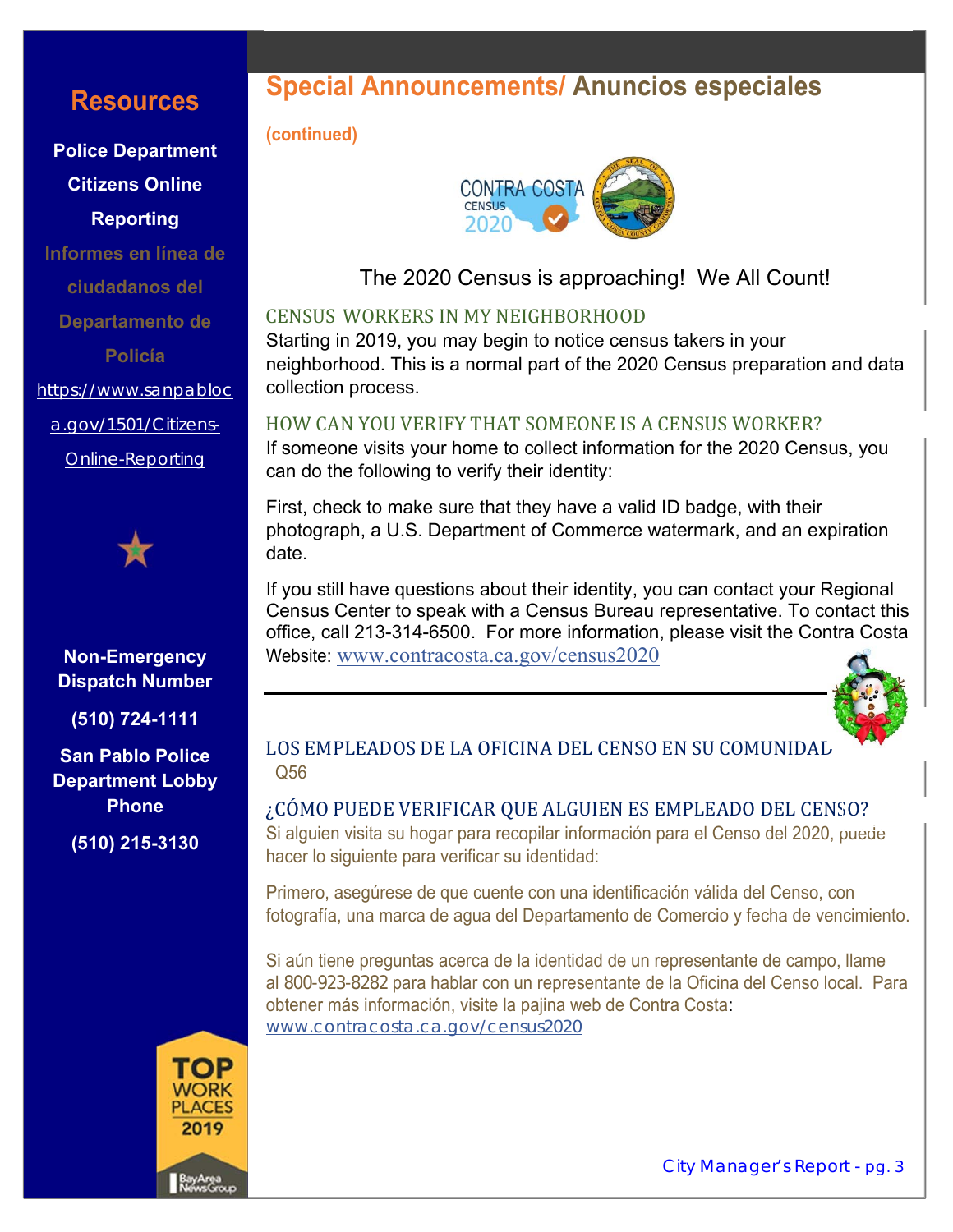### **Resources**

**Police Department Citizens Online Reporting** 

**Informes en línea de ciudadanos del Departamento de Policía**  https://www.sanpabloc

a.gov/1501/Citizens-

Online-Reporting



#### **Non-Emergency Dispatch Number**

**(510) 724-1111** 

**San Pablo Police Department Lobby Phone** 

**(510) 215-3130** 



## **Special Announcements/ Anuncios especiales**

#### **(continued)**



The 2020 Census is approaching! We All Count!

#### CENSUS WORKERS IN MY NEIGHBORHOOD

Starting in 2019, you may begin to notice census takers in your neighborhood. This is a normal part of the 2020 Census preparation and data collection process.

#### HOW CAN YOU VERIFY THAT SOMEONE IS A CENSUS WORKER?

If someone visits your home to collect information for the 2020 Census, you can do the following to verify their identity:

First, check to make sure that they have a valid ID badge, with their photograph, a U.S. Department of Commerce watermark, and an expiration date.

If you still have questions about their identity, you can contact your Regional Census Center to speak with a Census Bureau representative. To contact this office, call 213-314-6500. For more information, please visit the Contra Costa Website: www.contracosta.ca.gov/census2020



#### LOS EMPLEADOS DE LA OFICINA DEL CENSO EN SU COMUNIDAL Q56

¿CÓMO PUEDE VERIFICAR QUE ALGUIEN ES EMPLEADO DEL CENSO? Si alguien visita su hogar para recopilar información para el Censo del 2020, puede hacer lo siguiente para verificar su identidad:

Primero, asegúrese de que cuente con una identificación válida del Censo, con fotografía, una marca de agua del Departamento de Comercio y fecha de vencimiento.

Si aún tiene preguntas acerca de la identidad de un representante de campo, llame al 800-923-8282 para hablar con un representante de la Oficina del Censo local. Para obtener más información, visite la pajina web de Contra Costa: www.contracosta.ca.gov/census2020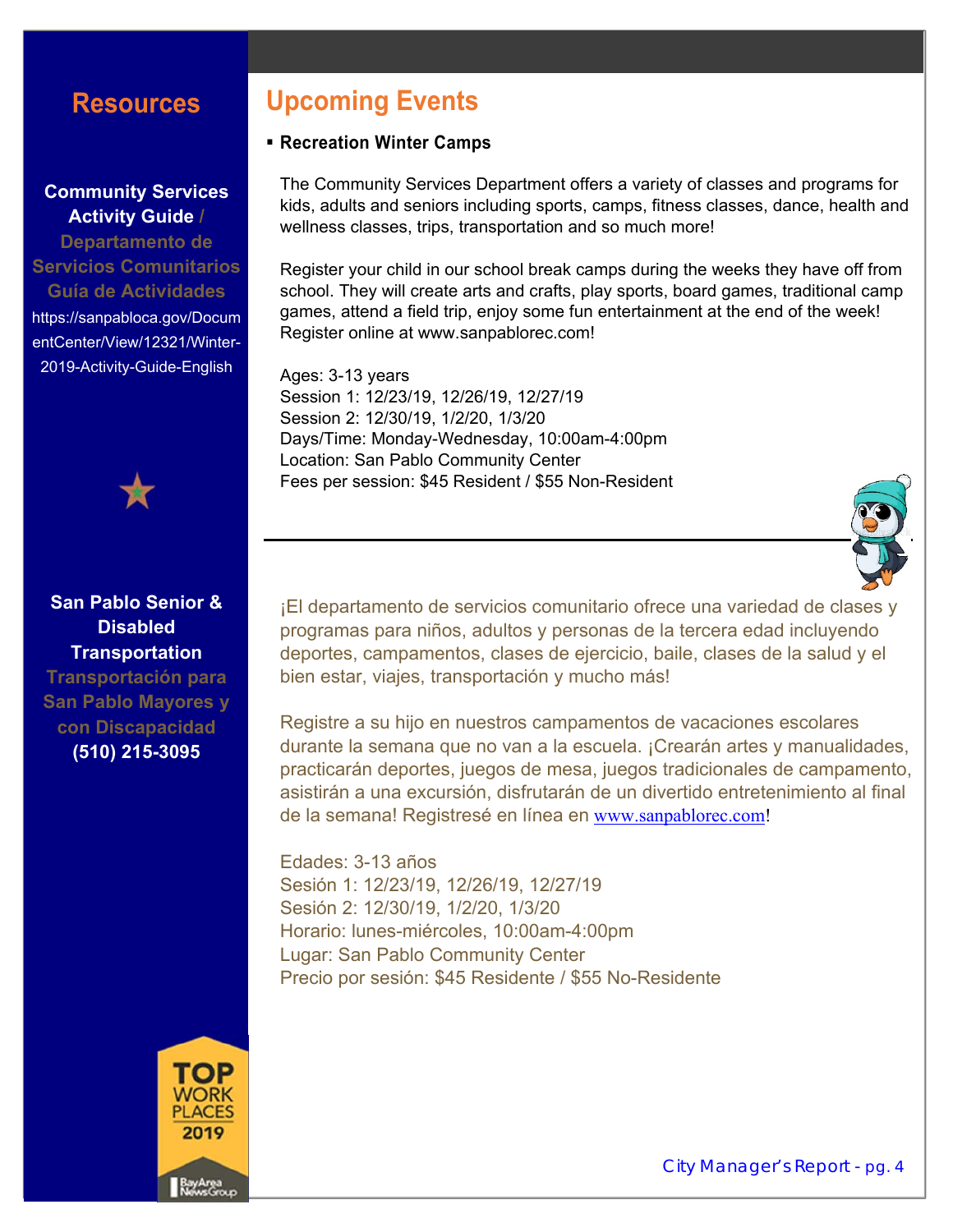### **Resources**

#### **Community Services Activity Guide /**

**Departamento de Servicios Comunitarios Guía de Actividades** https://sanpabloca.gov/Docum entCenter/View/12321/Winter-2019-Activity-Guide-English



#### **San Pablo Senior & Disabled Transportation**

**Transportación para San Pablo Mayores y con Discapacidad (510) 215-3095**



### **Upcoming Events**

#### **Recreation Winter Camps**

The Community Services Department offers a variety of classes and programs for kids, adults and seniors including sports, camps, fitness classes, dance, health and wellness classes, trips, transportation and so much more!

Register your child in our school break camps during the weeks they have off from school. They will create arts and crafts, play sports, board games, traditional camp games, attend a field trip, enjoy some fun entertainment at the end of the week! Register online at www.sanpablorec.com!

Ages: 3-13 years Session 1: 12/23/19, 12/26/19, 12/27/19 Session 2: 12/30/19, 1/2/20, 1/3/20 Days/Time: Monday-Wednesday, 10:00am-4:00pm Location: San Pablo Community Center Fees per session: \$45 Resident / \$55 Non-Resident



¡El departamento de servicios comunitario ofrece una variedad de clases y programas para niños, adultos y personas de la tercera edad incluyendo deportes, campamentos, clases de ejercicio, baile, clases de la salud y el bien estar, viajes, transportación y mucho más!

Registre a su hijo en nuestros campamentos de vacaciones escolares durante la semana que no van a la escuela. ¡Crearán artes y manualidades, practicarán deportes, juegos de mesa, juegos tradicionales de campamento, asistirán a una excursión, disfrutarán de un divertido entretenimiento al final de la semana! Registresé en línea en www.sanpablorec.com!

Edades: 3-13 años Sesión 1: 12/23/19, 12/26/19, 12/27/19 Sesión 2: 12/30/19, 1/2/20, 1/3/20 Horario: lunes-miércoles, 10:00am-4:00pm Lugar: San Pablo Community Center Precio por sesión: \$45 Residente / \$55 No-Residente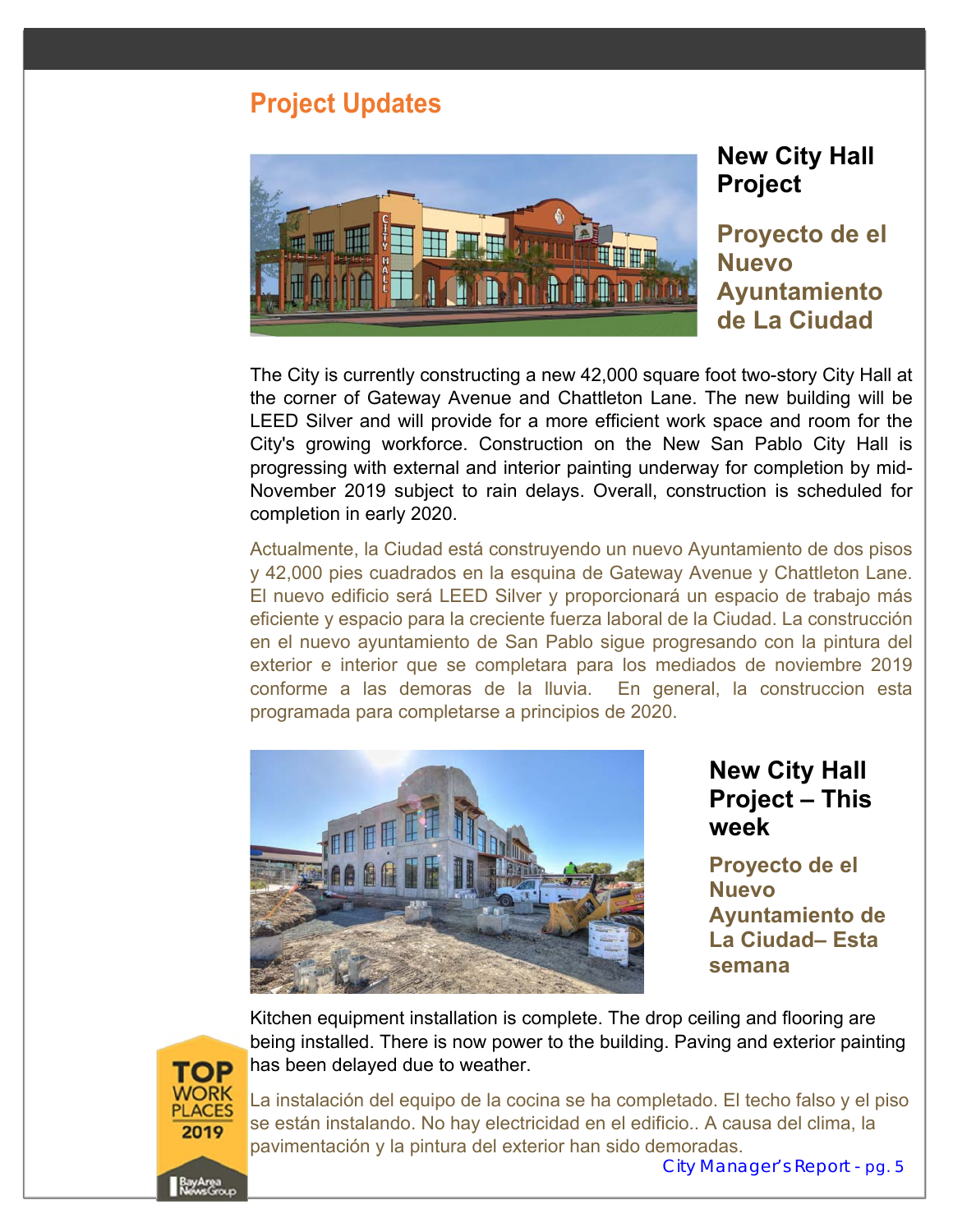### **Project Updates**



### **New City Hall Project**

**Proyecto de el Nuevo Ayuntamiento de La Ciudad** 

The City is currently constructing a new 42,000 square foot two-story City Hall at the corner of Gateway Avenue and Chattleton Lane. The new building will be LEED Silver and will provide for a more efficient work space and room for the City's growing workforce. Construction on the New San Pablo City Hall is progressing with external and interior painting underway for completion by mid-November 2019 subject to rain delays. Overall, construction is scheduled for completion in early 2020.

Actualmente, la Ciudad está construyendo un nuevo Ayuntamiento de dos pisos y 42,000 pies cuadrados en la esquina de Gateway Avenue y Chattleton Lane. El nuevo edificio será LEED Silver y proporcionará un espacio de trabajo más eficiente y espacio para la creciente fuerza laboral de la Ciudad. La construcción en el nuevo ayuntamiento de San Pablo sigue progresando con la pintura del exterior e interior que se completara para los mediados de noviembre 2019 conforme a las demoras de la lluvia. En general, la construccion esta programada para completarse a principios de 2020.



### **New City Hall Project – This week**

**Proyecto de el Nuevo Ayuntamiento de La Ciudad– Esta semana** 



Kitchen equipment installation is complete. The drop ceiling and flooring are being installed. There is now power to the building. Paving and exterior painting has been delayed due to weather.

La instalación del equipo de la cocina se ha completado. El techo falso y el piso se están instalando. No hay electricidad en el edificio.. A causa del clima, la pavimentación y la pintura del exterior han sido demoradas.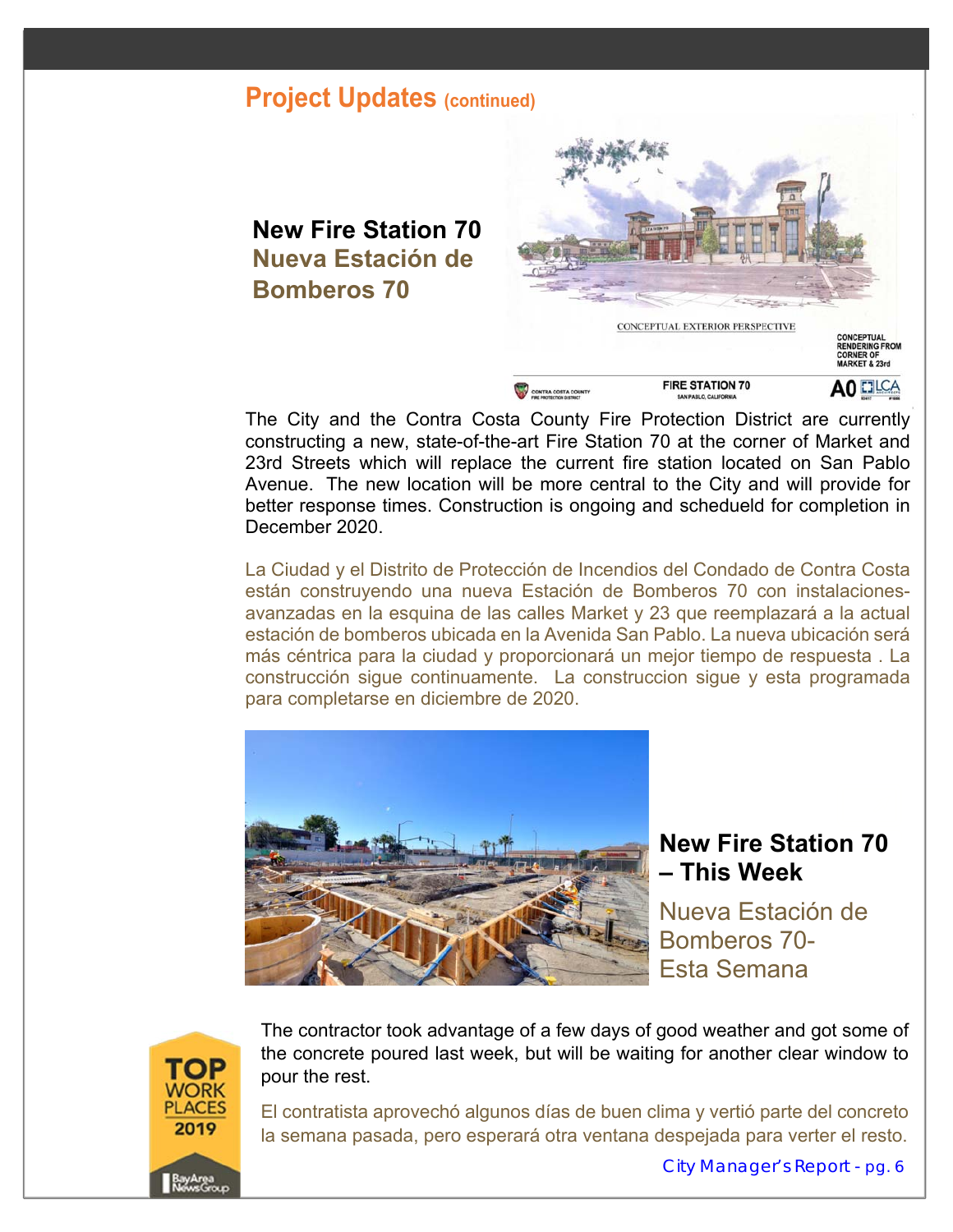### **New Fire Station 70 Nueva Estación de Bomberos 70**



The City and the Contra Costa County Fire Protection District are currently constructing a new, state-of-the-art Fire Station 70 at the corner of Market and 23rd Streets which will replace the current fire station located on San Pablo Avenue. The new location will be more central to the City and will provide for better response times. Construction is ongoing and schedueld for completion in December 2020.

La Ciudad y el Distrito de Protección de Incendios del Condado de Contra Costa están construyendo una nueva Estación de Bomberos 70 con instalacionesavanzadas en la esquina de las calles Market y 23 que reemplazará a la actual estación de bomberos ubicada en la Avenida San Pablo. La nueva ubicación será más céntrica para la ciudad y proporcionará un mejor tiempo de respuesta . La construcción sigue continuamente. La construccion sigue y esta programada para completarse en diciembre de 2020.



### **New Fire Station 70 – This Week**

Nueva Estación de Bomberos 70- Esta Semana



The contractor took advantage of a few days of good weather and got some of the concrete poured last week, but will be waiting for another clear window to pour the rest.

El contratista aprovechó algunos días de buen clima y vertió parte del concreto la semana pasada, pero esperará otra ventana despejada para verter el resto.

City Manager's Report - pg. 6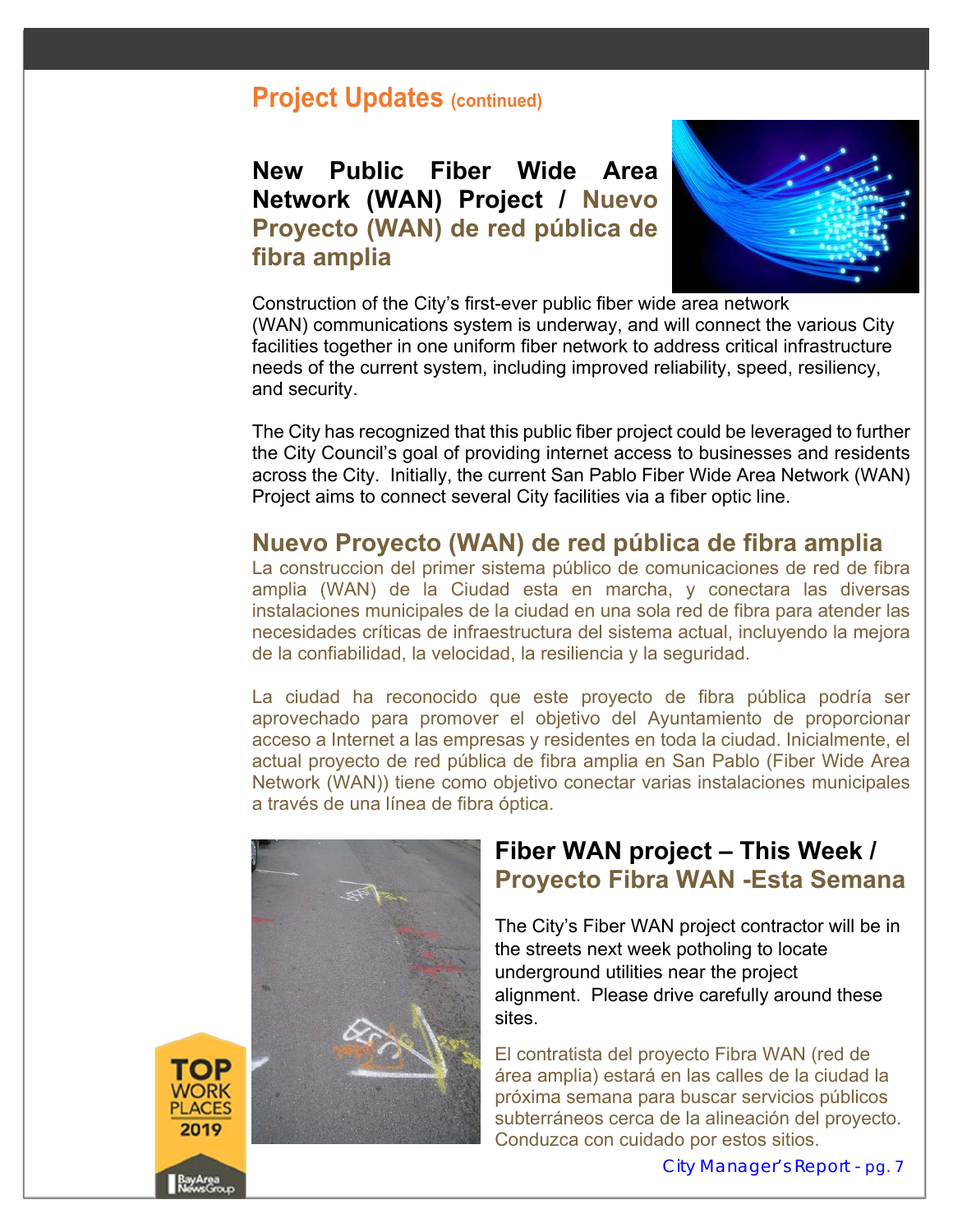### **New Public Fiber Wide Area Network (WAN) Project / Nuevo Proyecto (WAN) de red pública de fibra amplia**



Construction of the City's first-ever public fiber wide area network (WAN) communications system is underway, and will connect the various City facilities together in one uniform fiber network to address critical infrastructure needs of the current system, including improved reliability, speed, resiliency, and security.

The City has recognized that this public fiber project could be leveraged to further the City Council's goal of providing internet access to businesses and residents across the City. Initially, the current San Pablo Fiber Wide Area Network (WAN) Project aims to connect several City facilities via a fiber optic line.

#### **Nuevo Proyecto (WAN) de red pública de fibra amplia**

La construccion del primer sistema público de comunicaciones de red de fibra amplia (WAN) de la Ciudad esta en marcha, y conectara las diversas instalaciones municipales de la ciudad en una sola red de fibra para atender las necesidades críticas de infraestructura del sistema actual, incluyendo la mejora de la confiabilidad, la velocidad, la resiliencia y la seguridad.

La ciudad ha reconocido que este proyecto de fibra pública podría ser aprovechado para promover el objetivo del Ayuntamiento de proporcionar acceso a Internet a las empresas y residentes en toda la ciudad. Inicialmente, el actual proyecto de red pública de fibra amplia en San Pablo (Fiber Wide Area Network (WAN)) tiene como objetivo conectar varias instalaciones municipales a través de una línea de fibra óptica.



PLACES 2019

### **Fiber WAN project – This Week / Proyecto Fibra WAN -Esta Semana**

The City's Fiber WAN project contractor will be in the streets next week potholing to locate underground utilities near the project alignment. Please drive carefully around these sites.

El contratista del proyecto Fibra WAN (red de área amplia) estará en las calles de la ciudad la próxima semana para buscar servicios públicos subterráneos cerca de la alineación del proyecto. Conduzca con cuidado por estos sitios.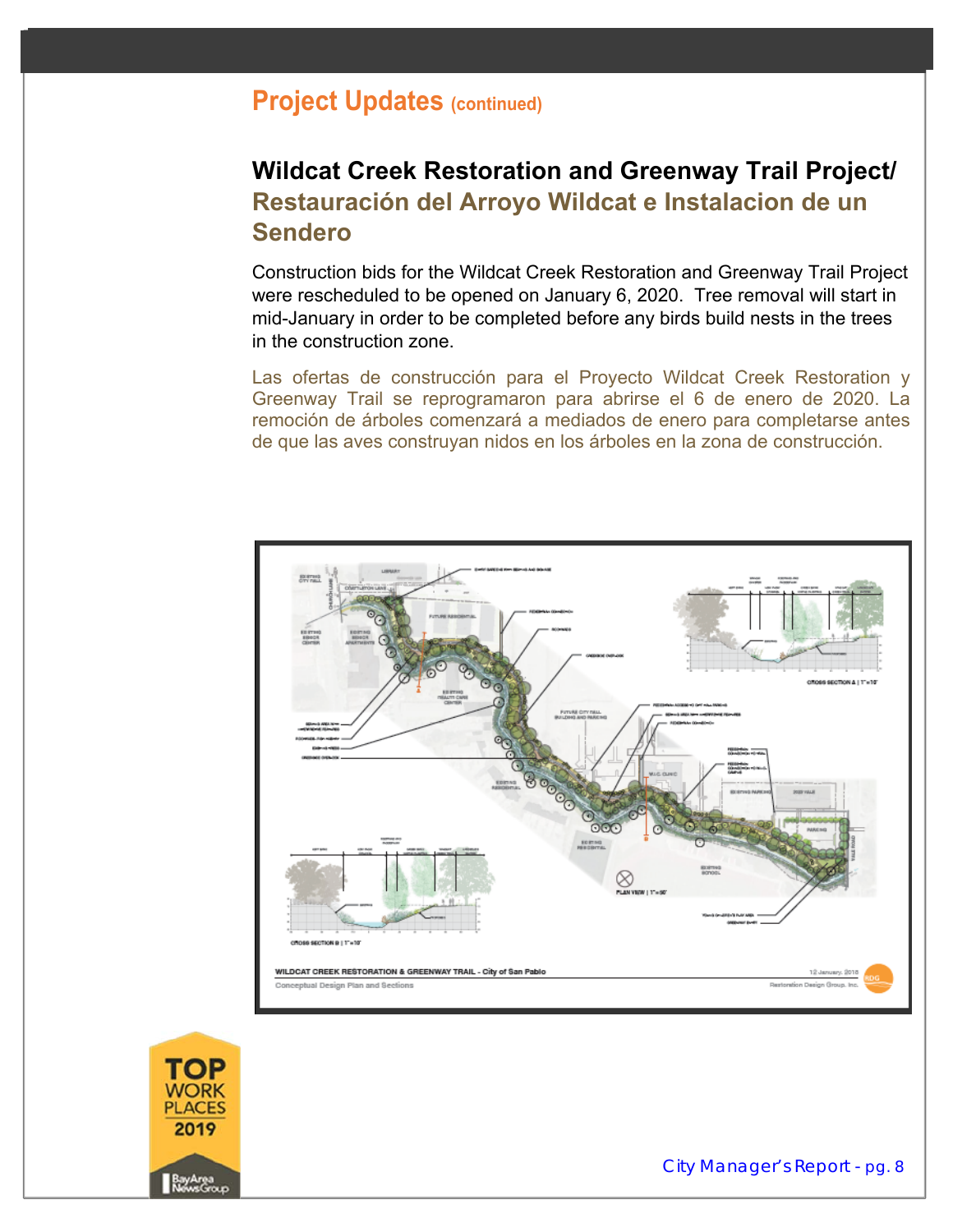### **Wildcat Creek Restoration and Greenway Trail Project/ Restauración del Arroyo Wildcat e Instalacion de un Sendero**

Construction bids for the Wildcat Creek Restoration and Greenway Trail Project were rescheduled to be opened on January 6, 2020. Tree removal will start in mid-January in order to be completed before any birds build nests in the trees in the construction zone.

Las ofertas de construcción para el Proyecto Wildcat Creek Restoration y Greenway Trail se reprogramaron para abrirse el 6 de enero de 2020. La remoción de árboles comenzará a mediados de enero para completarse antes de que las aves construyan nidos en los árboles en la zona de construcción.



PLACES 2019

City Manager's Report - pg. 8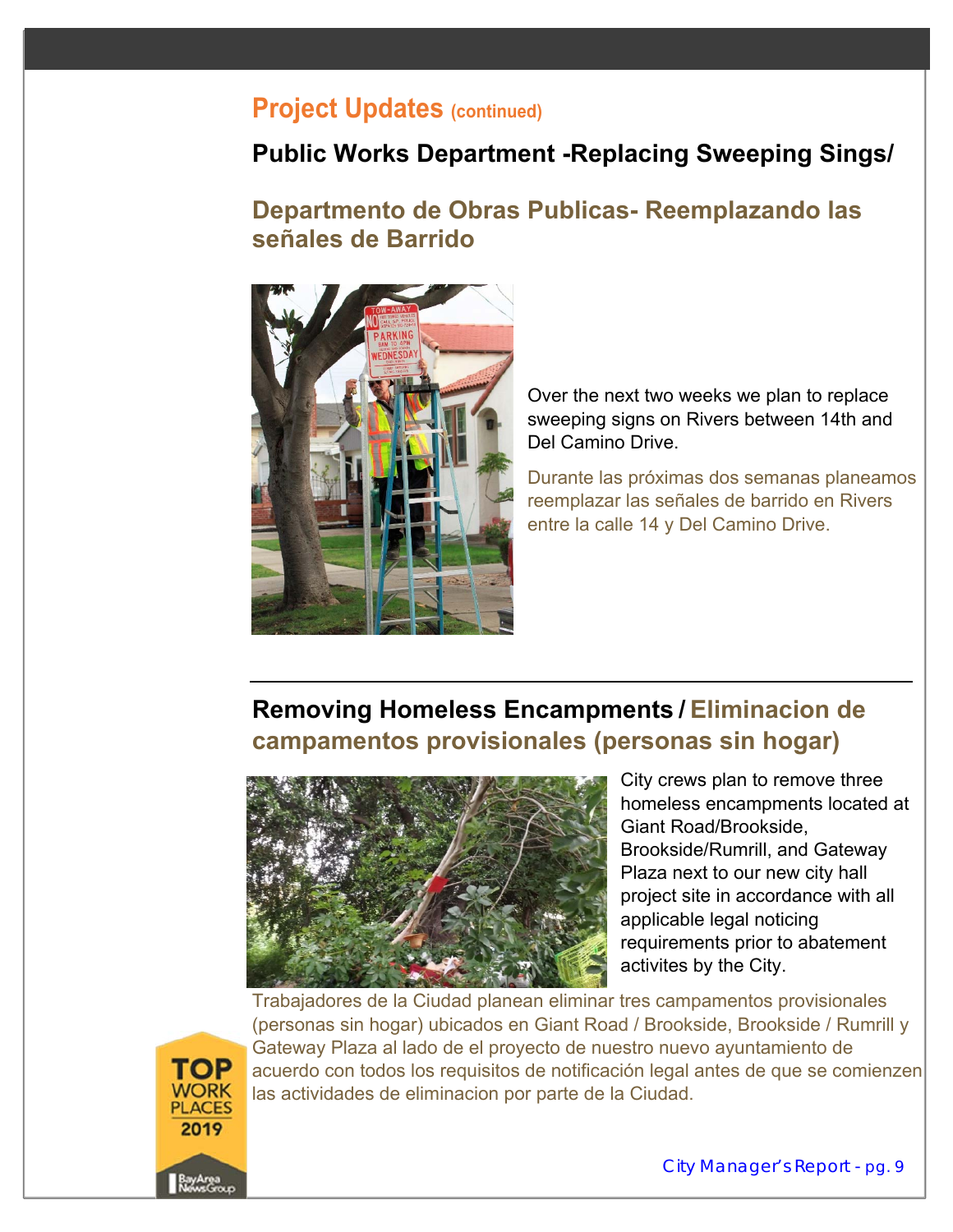### **Public Works Department -Replacing Sweeping Sings/**

### **Departmento de Obras Publicas- Reemplazando las señales de Barrido**



Over the next two weeks we plan to replace sweeping signs on Rivers between 14th and Del Camino Drive.

Durante las próximas dos semanas planeamos reemplazar las señales de barrido en Rivers entre la calle 14 y Del Camino Drive.

### **Removing Homeless Encampments / Eliminacion de campamentos provisionales (personas sin hogar)**



City crews plan to remove three homeless encampments located at Giant Road/Brookside, Brookside/Rumrill, and Gateway Plaza next to our new city hall project site in accordance with all applicable legal noticing requirements prior to abatement activites by the City.

Trabajadores de la Ciudad planean eliminar tres campamentos provisionales (personas sin hogar) ubicados en Giant Road / Brookside, Brookside / Rumrill y Gateway Plaza al lado de el proyecto de nuestro nuevo ayuntamiento de acuerdo con todos los requisitos de notificación legal antes de que se comienzen las actividades de eliminacion por parte de la Ciudad.

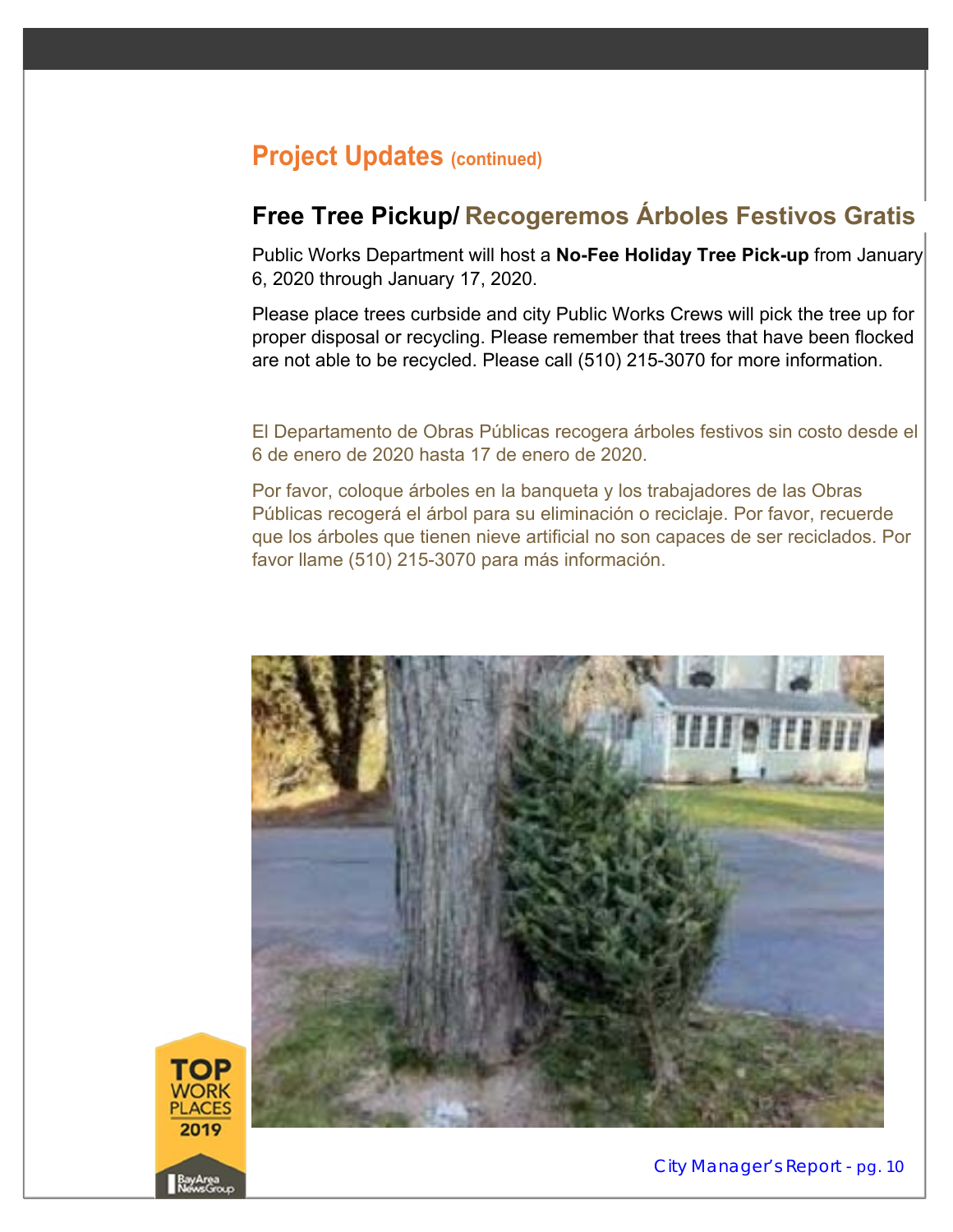### **Free Tree Pickup/ Recogeremos Árboles Festivos Gratis**

Public Works Department will host a **No-Fee Holiday Tree Pick-up** from January 6, 2020 through January 17, 2020.

Please place trees curbside and city Public Works Crews will pick the tree up for proper disposal or recycling. Please remember that trees that have been flocked are not able to be recycled. Please call (510) 215-3070 for more information.

El Departamento de Obras Públicas recogera árboles festivos sin costo desde el 6 de enero de 2020 hasta 17 de enero de 2020.

Por favor, coloque árboles en la banqueta y los trabajadores de las Obras Públicas recogerá el árbol para su eliminación o reciclaje. Por favor, recuerde que los árboles que tienen nieve artificial no son capaces de ser reciclados. Por favor llame (510) 215-3070 para más información.